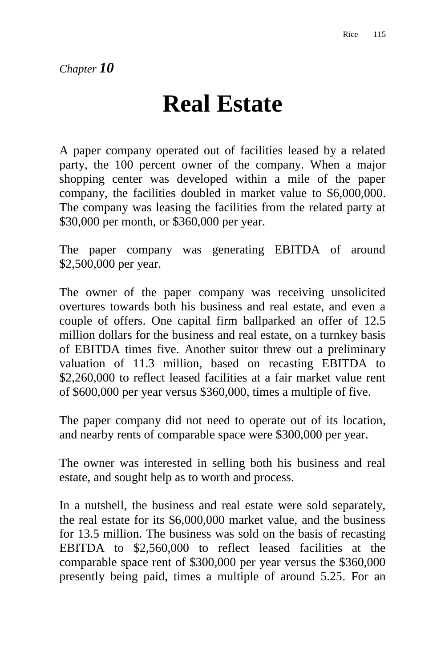## **Real Estate**

A paper company operated out of facilities leased by a related party, the 100 percent owner of the company. When a major shopping center was developed within a mile of the paper company, the facilities doubled in market value to \$6,000,000. The company was leasing the facilities from the related party at \$30,000 per month, or \$360,000 per year.

The paper company was generating EBITDA of around \$2,500,000 per year.

The owner of the paper company was receiving unsolicited overtures towards both his business and real estate, and even a couple of offers. One capital firm ballparked an offer of 12.5 million dollars for the business and real estate, on a turnkey basis of EBITDA times five. Another suitor threw out a preliminary valuation of 11.3 million, based on recasting EBITDA to \$2,260,000 to reflect leased facilities at a fair market value rent of \$600,000 per year versus \$360,000, times a multiple of five.

The paper company did not need to operate out of its location, and nearby rents of comparable space were \$300,000 per year.

The owner was interested in selling both his business and real estate, and sought help as to worth and process.

In a nutshell, the business and real estate were sold separately, the real estate for its \$6,000,000 market value, and the business for 13.5 million. The business was sold on the basis of recasting EBITDA to \$2,560,000 to reflect leased facilities at the comparable space rent of \$300,000 per year versus the \$360,000 presently being paid, times a multiple of around 5.25. For an